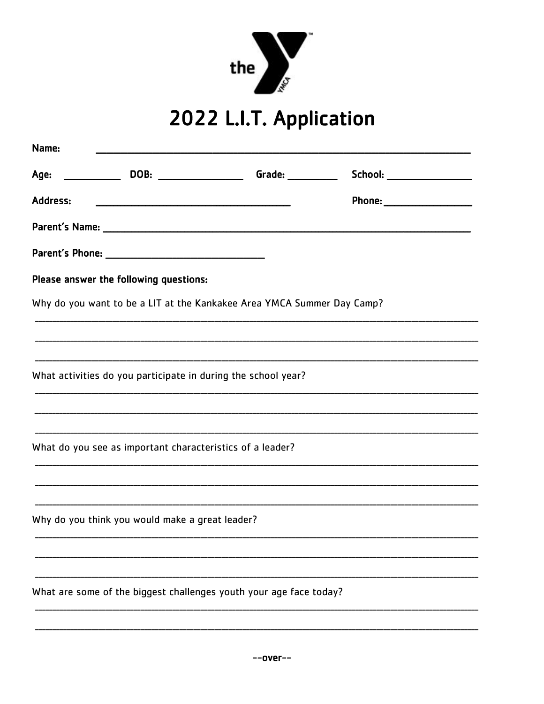

## 2022 L.I.T. Application

| Name:    |                                                                                                                     |                                                                        |                                                                                                                |  |
|----------|---------------------------------------------------------------------------------------------------------------------|------------------------------------------------------------------------|----------------------------------------------------------------------------------------------------------------|--|
|          |                                                                                                                     | Grade: $\_\_$                                                          | School: _____________________                                                                                  |  |
| Address: | <u> Antonio de la contrada de la contrada de la contrada de la contrada de la contrada de la contrada de la con</u> |                                                                        | Phone: __________________                                                                                      |  |
|          |                                                                                                                     |                                                                        | Parent's Name: experience and the set of the set of the set of the set of the set of the set of the set of the |  |
|          |                                                                                                                     |                                                                        |                                                                                                                |  |
|          | Please answer the following questions:                                                                              |                                                                        |                                                                                                                |  |
|          |                                                                                                                     | Why do you want to be a LIT at the Kankakee Area YMCA Summer Day Camp? |                                                                                                                |  |
|          |                                                                                                                     |                                                                        |                                                                                                                |  |
|          |                                                                                                                     |                                                                        |                                                                                                                |  |
|          |                                                                                                                     | What activities do you participate in during the school year?          |                                                                                                                |  |
|          |                                                                                                                     |                                                                        |                                                                                                                |  |
|          |                                                                                                                     |                                                                        |                                                                                                                |  |
|          | What do you see as important characteristics of a leader?                                                           |                                                                        |                                                                                                                |  |
|          |                                                                                                                     |                                                                        |                                                                                                                |  |
|          |                                                                                                                     |                                                                        |                                                                                                                |  |
|          | Why do you think you would make a great leader?                                                                     |                                                                        |                                                                                                                |  |
|          |                                                                                                                     |                                                                        |                                                                                                                |  |
|          |                                                                                                                     |                                                                        |                                                                                                                |  |
|          |                                                                                                                     | What are some of the biggest challenges youth your age face today?     |                                                                                                                |  |
|          |                                                                                                                     |                                                                        |                                                                                                                |  |